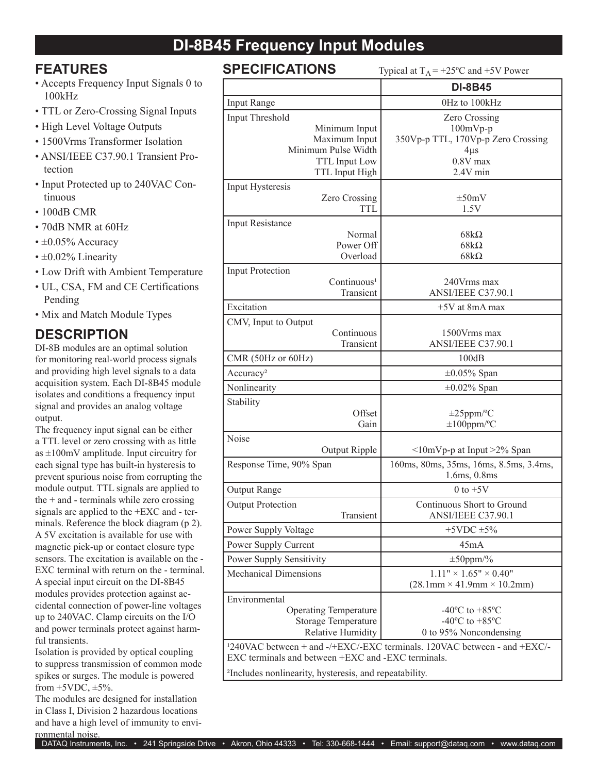## **DI-8B45 Frequency Input Modules**

### **FEATURES**

- Accepts Frequency Input Signals 0 to 100kHz
- TTL or Zero-Crossing Signal Inputs
- High Level Voltage Outputs
- 1500Vrms Transformer Isolation
- ANSI/IEEE C37.90.1 Transient Protection
- Input Protected up to 240VAC Continuous
- 100dB CMR
- 70dB NMR at 60Hz
- $\cdot \pm 0.05\%$  Accuracy
- $\cdot$  ±0.02% Linearity
- Low Drift with Ambient Temperature
- UL, CSA, FM and CE Certifications Pending
- Mix and Match Module Types

## **DESCRIPTION**

DI-8B modules are an optimal solution for monitoring real-world process signals and providing high level signals to a data acquisition system. Each DI-8B45 module isolates and conditions a frequency input signal and provides an analog voltage output.

The frequency input signal can be either a TTL level or zero crossing with as little as  $\pm 100$ mV amplitude. Input circuitry for each signal type has built-in hysteresis to prevent spurious noise from corrupting the module output. TTL signals are applied to the  $+$  and  $-$  terminals while zero crossing signals are applied to the +EXC and - terminals. Reference the block diagram (p 2). A 5V excitation is available for use with magnetic pick-up or contact closure type sensors. The excitation is available on the - EXC terminal with return on the - terminal. A special input circuit on the DI-8B45 modules provides protection against accidental connection of power-line voltages up to 240VAC. Clamp circuits on the I/O and power terminals protect against harmful transients.

Isolation is provided by optical coupling to suppress transmission of common mode spikes or surges. The module is powered from  $+5VDC$ ,  $\pm 5\%$ .

The modules are designed for installation in Class I, Division 2 hazardous locations and have a high level of immunity to environmental noise.

**SPECIFICATIONS** Typical at  $T_A = +25^\circ \text{C}$  and  $+5V$  Power

|                                                    | ╯▪                                                                                   |
|----------------------------------------------------|--------------------------------------------------------------------------------------|
|                                                    | <b>DI-8B45</b>                                                                       |
| Input Range                                        | 0Hz to 100kHz                                                                        |
| Input Threshold                                    | <b>Zero Crossing</b>                                                                 |
| Minimum Input                                      | $100mVp-p$                                                                           |
| Maximum Input                                      | 350Vp-p TTL, 170Vp-p Zero Crossing                                                   |
| Minimum Pulse Width                                | $4\mu s$                                                                             |
| TTL Input Low                                      | $0.8V$ max                                                                           |
| TTL Input High                                     | 2.4V min                                                                             |
| Input Hysteresis                                   |                                                                                      |
| Zero Crossing                                      | $\pm 50$ mV                                                                          |
| TTL                                                | 1.5V                                                                                 |
| Input Resistance                                   |                                                                                      |
| Normal                                             | $68k\Omega$                                                                          |
| Power Off                                          | $68k\Omega$                                                                          |
| Overload                                           | $68k\Omega$                                                                          |
| <b>Input Protection</b>                            |                                                                                      |
| Continuous <sup>1</sup>                            | 240Vrms max                                                                          |
| Transient                                          | ANSI/IEEE C37.90.1                                                                   |
| Excitation                                         | $+5V$ at 8mA max                                                                     |
| CMV, Input to Output                               |                                                                                      |
| Continuous                                         | 1500 Vrms max                                                                        |
| Transient                                          | ANSI/IEEE C37.90.1                                                                   |
| CMR (50Hz or 60Hz)                                 | 100dB                                                                                |
| Accuracy <sup>2</sup>                              | $\pm 0.05\%$ Span                                                                    |
| Nonlinearity                                       | $\pm 0.02\%$ Span                                                                    |
| Stability                                          |                                                                                      |
| Offset                                             | $\pm 25$ ppm/°C                                                                      |
| Gain                                               | $\pm 100$ ppm/°C                                                                     |
| Noise                                              |                                                                                      |
| Output Ripple                                      | $\leq 10$ mVp-p at Input $\geq 2\%$ Span                                             |
| Response Time, 90% Span                            | 160ms, 80ms, 35ms, 16ms, 8.5ms, 3.4ms,                                               |
|                                                    | 1.6ms, 0.8ms                                                                         |
| <b>Output Range</b>                                | 0 to $+5V$                                                                           |
| <b>Output Protection</b>                           | Continuous Short to Ground                                                           |
| Fransient                                          | ANSI/IEEE C37.90.1                                                                   |
| Power Supply Voltage                               | $+5$ VDC $\pm$ 5%                                                                    |
| Power Supply Current                               | 45mA                                                                                 |
| Power Supply Sensitivity                           | $\pm 50$ ppm/%                                                                       |
| <b>Mechanical Dimensions</b>                       | $1.11" \times 1.65" \times 0.40"$                                                    |
|                                                    | $(28.1 \text{mm} \times 41.9 \text{mm} \times 10.2 \text{mm})$                       |
| Environmental                                      |                                                                                      |
| <b>Operating Temperature</b>                       | $-40^{\circ}$ C to $+85^{\circ}$ C                                                   |
| <b>Storage Temperature</b>                         | $-40^{\circ}$ C to $+85^{\circ}$ C                                                   |
| <b>Relative Humidity</b>                           | 0 to 95% Noncondensing                                                               |
|                                                    | <sup>1</sup> 240VAC between + and -/+EXC/-EXC terminals. 120VAC between - and +EXC/- |
| EXC terminals and between +EXC and -EXC terminals. |                                                                                      |

²Includes nonlinearity, hysteresis, and repeatability.